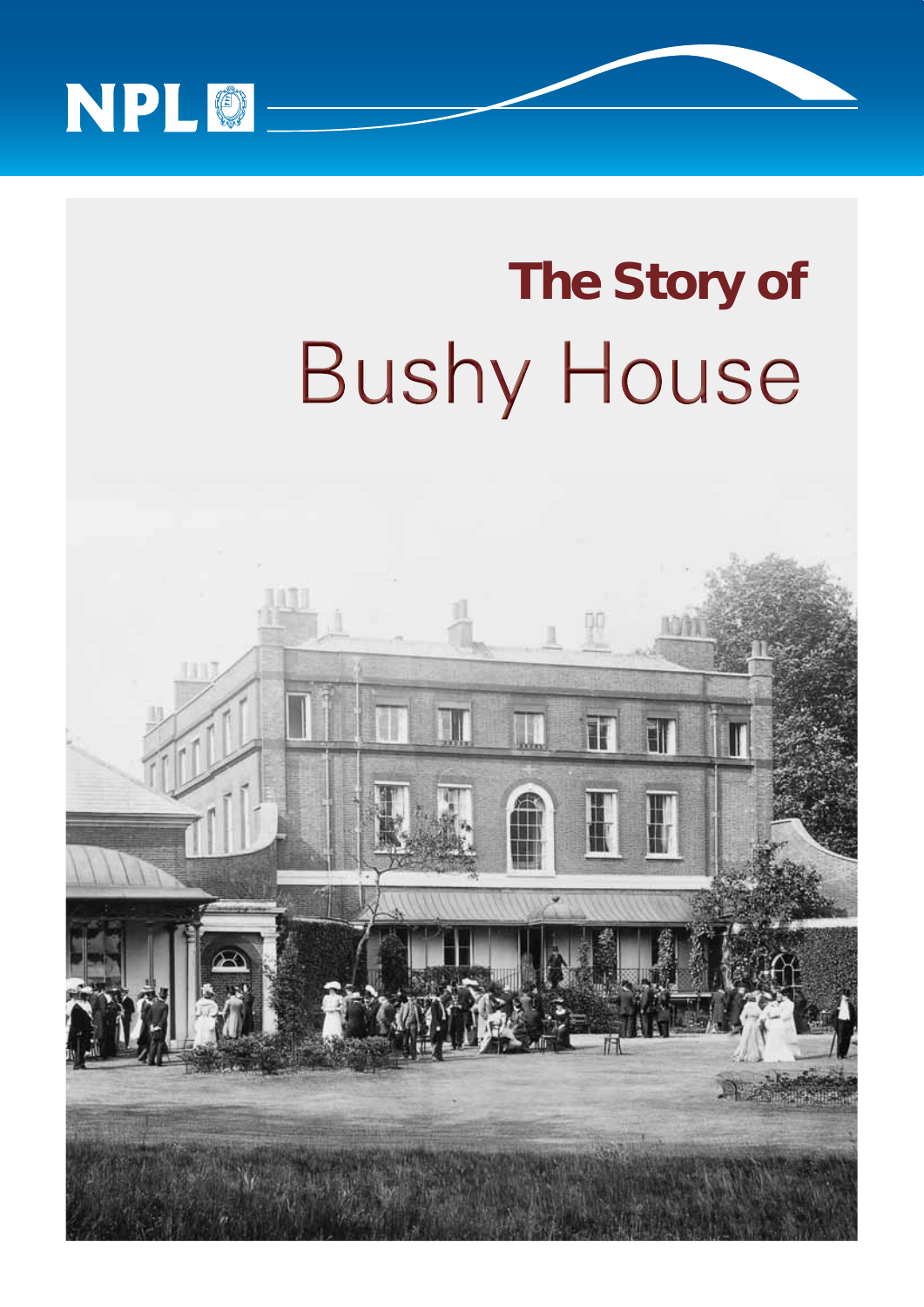

# **The Story of Bushy House**

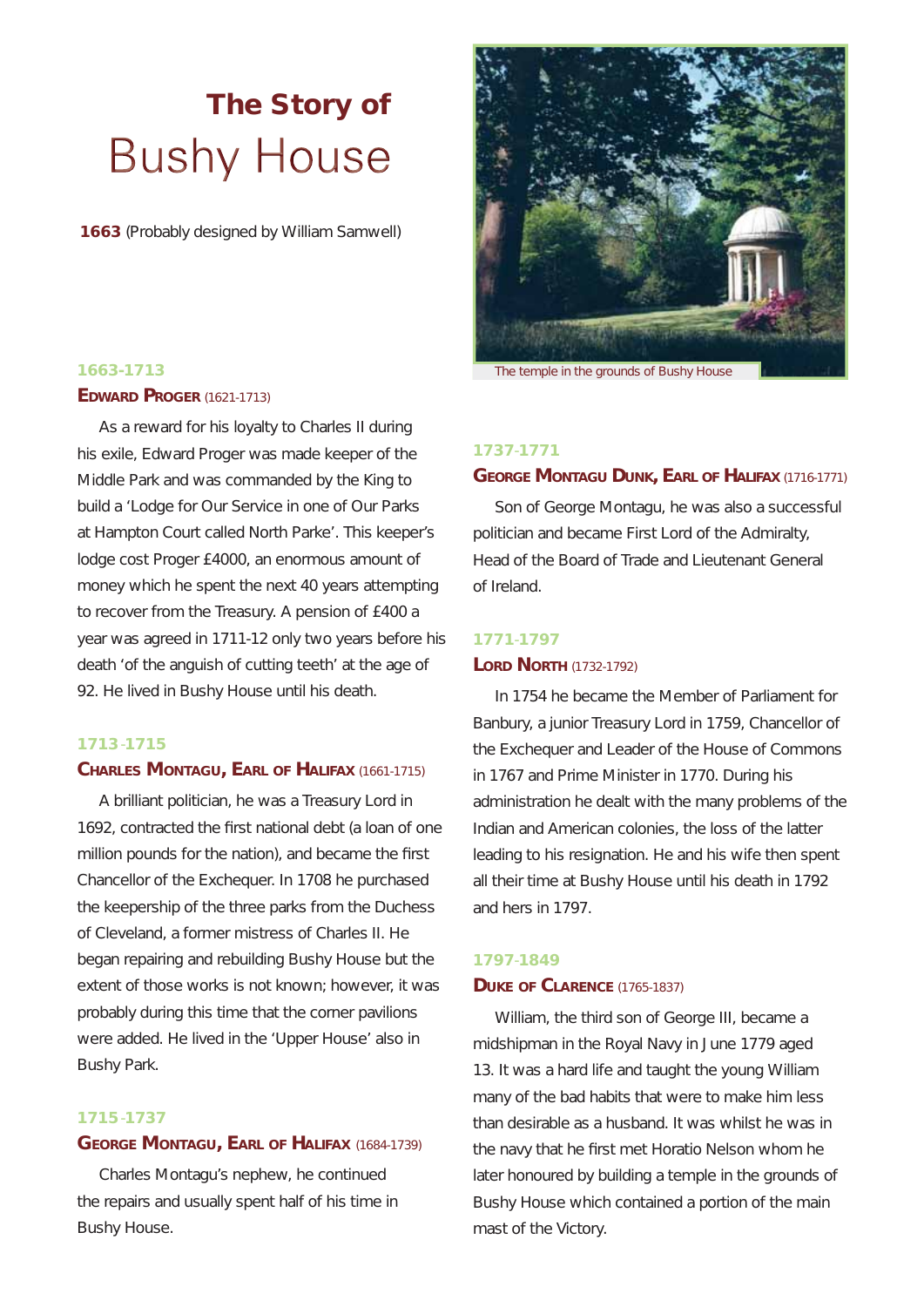## **The Story of Bushy House**

**1663** *(Probably designed by William Samwell)*



**1663-1713** *The temple in the grounds of Bushy House*

#### **1737**-**1771**

#### **GEORGE MONTAGU DUNK, EARL OF HALIFAX** (1716-1771)

Son of George Montagu, he was also a successful politician and became First Lord of the Admiralty, Head of the Board of Trade and Lieutenant General of Ireland.

#### **1771**-**1797**

#### **LORD NORTH (1732-1792)**

In 1754 he became the Member of Parliament for Banbury, a junior Treasury Lord in 1759, Chancellor of the Exchequer and Leader of the House of Commons in 1767 and Prime Minister in 1770. During his administration he dealt with the many problems of the Indian and American colonies, the loss of the latter leading to his resignation. He and his wife then spent all their time at Bushy House until his death in 1792 and hers in 1797.

#### **1797**-**1849**

#### **DUKE OF CLARENCE** (1765-1837)

William, the third son of George III, became a midshipman in the Royal Navy in June 1779 aged 13. It was a hard life and taught the young William many of the bad habits that were to make him less than desirable as a husband. It was whilst he was in the navy that he first met Horatio Nelson whom he later honoured by building a temple in the grounds of Bushy House which contained a portion of the main mast of the Victory.

#### **EDWARD PROGER** (1621-1713)

As a reward for his loyalty to Charles II during his exile, Edward Proger was made keeper of the Middle Park and was commanded by the King to build a 'Lodge for Our Service in one of Our Parks at Hampton Court called North Parke'. This keeper's lodge cost Proger £4000, an enormous amount of money which he spent the next 40 years attempting to recover from the Treasury. A pension of £400 a year was agreed in 1711-12 only two years before his death 'of the anguish of cutting teeth' at the age of 92. He lived in Bushy House until his death.

#### **1713** -**1715**

#### **CHARLES MONTAGU, EARL OF HALIFAX** (1661-1715)

A brilliant politician, he was a Treasury Lord in 1692, contracted the first national debt (a loan of one million pounds for the nation), and became the first Chancellor of the Exchequer. In 1708 he purchased the keepership of the three parks from the Duchess of Cleveland, a former mistress of Charles II. He began repairing and rebuilding Bushy House but the extent of those works is not known; however, it was probably during this time that the corner pavilions were added. He lived in the 'Upper House' also in Bushy Park.

#### **1715** -**1737**

#### **GEORGE MONTAGU, EARL OF HALIFAX** (1684-1739)

Charles Montagu's nephew, he continued the repairs and usually spent half of his time in Bushy House.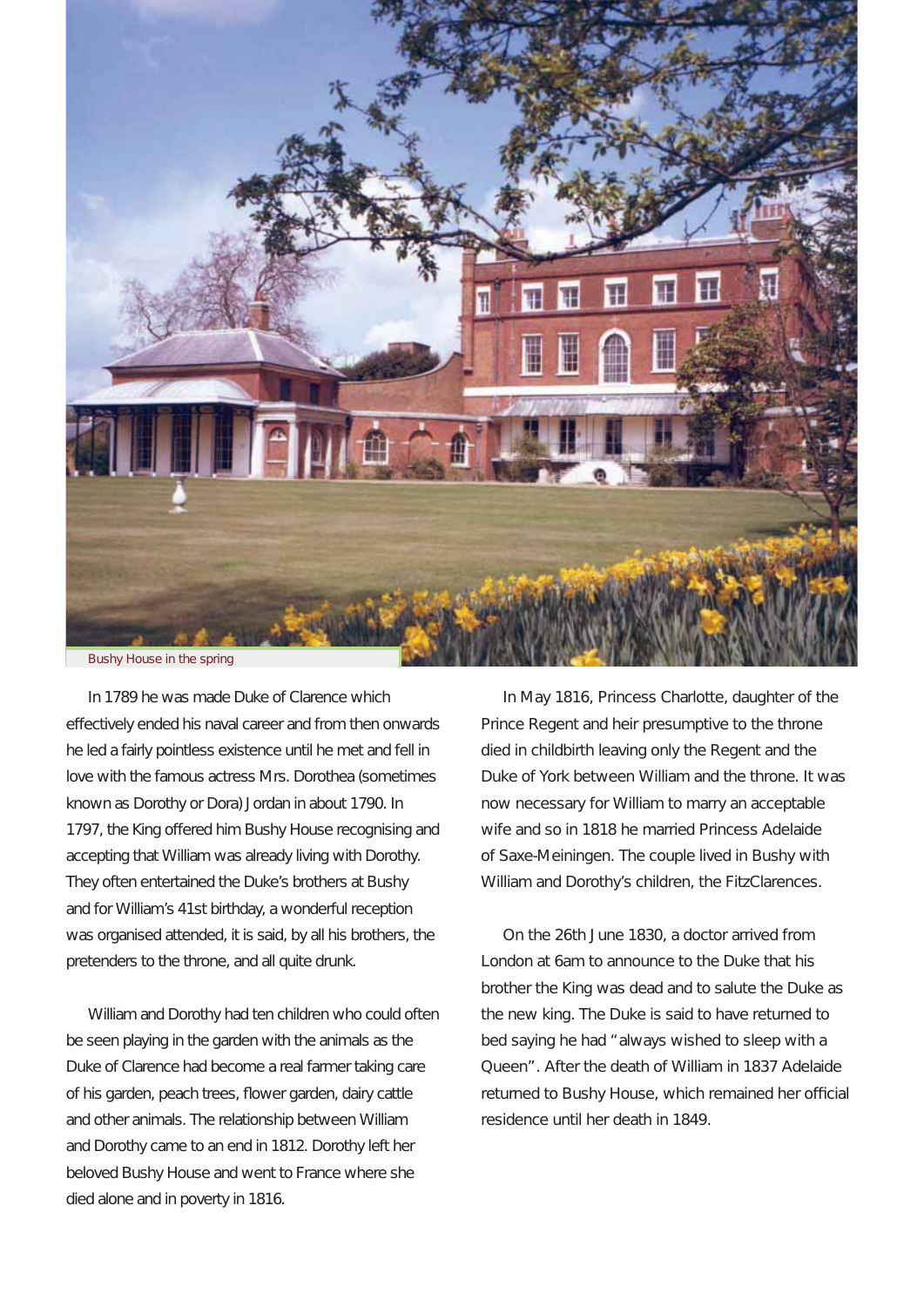

In 1789 he was made Duke of Clarence which effectively ended his naval career and from then onwards he led a fairly pointless existence until he met and fell in love with the famous actress Mrs. Dorothea (sometimes known as Dorothy or Dora) Jordan in about 1790. In 1797, the King offered him Bushy House recognising and accepting that William was already living with Dorothy. They often entertained the Duke's brothers at Bushy and for William's 41st birthday, a wonderful reception was organised attended, it is said, by all his brothers, the pretenders to the throne, and all quite drunk.

William and Dorothy had ten children who could often be seen playing in the garden with the animals as the Duke of Clarence had become a real farmer taking care of his garden, peach trees, flower garden, dairy cattle and other animals. The relationship between William and Dorothy came to an end in 1812. Dorothy left her beloved Bushy House and went to France where she died alone and in poverty in 1816.

In May 1816, Princess Charlotte, daughter of the Prince Regent and heir presumptive to the throne died in childbirth leaving only the Regent and the Duke of York between William and the throne. It was now necessary for William to marry an acceptable wife and so in 1818 he married Princess Adelaide of Saxe-Meiningen. The couple lived in Bushy with William and Dorothy's children, the FitzClarences.

On the 26th June 1830, a doctor arrived from London at 6am to announce to the Duke that his brother the King was dead and to salute the Duke as the new king. The Duke is said to have returned to bed saying he had "always wished to sleep with a Queen". After the death of William in 1837 Adelaide returned to Bushy House, which remained her official residence until her death in 1849.